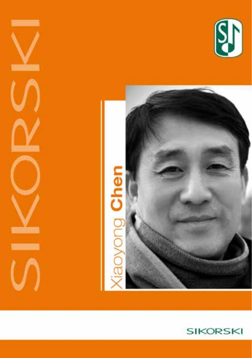





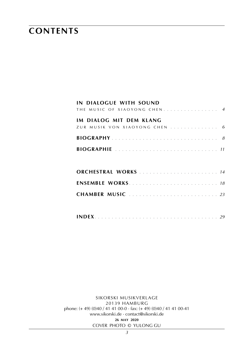# **contents**

## **in dialogue with sound**

| THE MUSIC OF XIAOYONG CHEN 4   |
|--------------------------------|
| IM DIALOG MIT DEM KLANG        |
| ZUR MUSIK VON XIAOYONG CHEN  6 |
|                                |
|                                |
|                                |
|                                |
| <b>ENSEMBLE WORKS</b> 18       |
|                                |
|                                |

|--|--|--|

sikorski Musikverlage 20139 hamburg phone: (+ 49) (0)40 / 41 41 00-0 · fax: (+ 49) (0)40 / 41 41 00-41 www.sikorski.de · contact@sikorski.de **26 may 2020** cover photo © yulong gu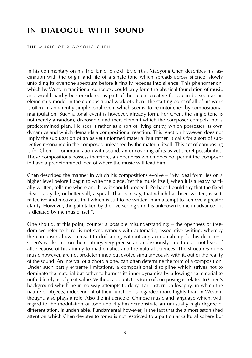## **in dialogue with sound**

THE MUSIC OF XIAOYONG CHEN

In his commentary on his Trio Enclosed Events, Xiaoyong Chen describes his fascination with the origin and life of a single tone which spreads across silence, slowly unfolding its overtone spectrum before it finally recedes into silence. This phenomenon, which by Western traditional concepts, could only form the physical foundation of music and would hardly be considered as part of the actual creative field, can be seen as an elementary model in the compositional work of Chen. The starting point of all of his work is often an apparently simple tonal event which seems to be untouched by compositional manipulation. Such a tonal event is however, already form. For Chen, the single tone is not merely a random, disposable and inert element which the composer compels into a predetermined plan. He sees it rather as a sort of living entity, which possesses its own dynamics and which demands a compositional reaction. This reaction however, does not imply the subjugation of an as yet unformed material but rather, it calls for a sort of subjective resonance in the composer, unleashed by the material itself. This act of composing is for Chen, a communication with sound, an uncovering of its as yet secret possibilities. These compositions possess therefore, an openness which does not permit the composer to have a predetermined idea of where the music will lead him.

Chen described the manner in which his compositions evolve – "My ideal form lies on a higher level before I begin to write the piece. Yet the music itself, when it is already partially written, tells me where and how it should proceed. Perhaps I could say that the fixed idea is a cycle, or better still, a spiral. That is to say, that which has been written, is selfreflective and motivates that which is still to be written in an attempt to achieve a greater clarity. However, the path taken by the overseeing spiral is unknown to me in advance – it is dictated by the music itself".

One should, at this point, counter a possible misunderstanding: – the openness or freedom we refer to here, is not synonymous with automatic, associative writing, whereby the composer allows himself to drift along without any accountability for his decisions. Chen's works are, on the contrary, very precise and consciously structured – not least of all, because of his affinity to mathematics and the natural sciences. The structures of his music however, are not predetermined but evolve simultaneously with it, out of the reality of the sound. An interval or a chord alone, can often determine the form of a composition. Under such partly extreme limitations, a compositional discipline which strives not to dominate the material but rather to harness its inner dynamics by allowing the material to unfold freely, is of great value. Without a doubt, this form of composing is related to Chen's background which he in no way attempts to deny. Far Eastern philosophy, in which the nature of objects, independent of their function, is regarded more highly than in Western thought, also plays a role. Also the influence of Chinese music and language which, with regard to the modulation of tone and rhythm demonstrate an unusually high degree of differentiation, is undeniable. Fundamental however, is the fact that the almost astonished attention which Chen devotes to tones is not restricted to a particular cultural sphere but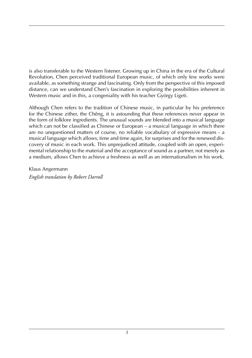is also transferable to the Western listener. Growing up in China in the era of the Cultural Revolution, Chen perceived traditional European music, of which only few works were available, as something strange and fascinating. Only from the perspective of this imposed distance, can we understand Chen's fascination in exploring the possibilities inherent in Western music and in this, a congeniality with his teacher György Ligeti.

Although Chen refers to the tradition of Chinese music, in particular by his preference for the Chinese zither, the Chêng, it is astounding that these references never appear in the form of folklore ingredients. The unusual sounds are blended into a musical language which can not be classified as Chinese or European – a musical language in which there are no unquestioned matters of course, no reliable vocabulary of expressive means - a musical language which allows, time and time again, for surprises and for the renewed discovery of music in each work. This unprejudiced attitude, coupled with an open, experimental relationship to the material and the acceptance of sound as a partner, not merely as a medium, allows Chen to achieve a freshness as well as an internationalism in his work.

Klaus Angermann *English translation by Robert Darroll*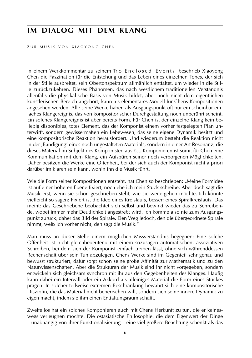## **im dialog mit dem klang**

ZUR MUSIK VON XIAOYONG CHEN

In einem Werkkommentar zu seinem Trio Enclosed Events beschrieb Xiaoyong Chen die Faszination für die Entstehung und das Leben eines einzelnen Tones, der sich in der Stille ausbreitet, sein Obertonspektrum allmählich entfaltet, um wieder in die Stille zurückzukehren. Dieses Phänomen, das nach westlichem traditionellen Verständnis allenfalls die physikalische Basis von Musik bildet, aber noch nicht dem eigentlichen künstlerischen Bereich angehört, kann als elementares Modell für Chens Kompositionen angesehen werden. Alle seine Werke haben als Ausgangspunkt oft nur ein scheinbar einfaches Klangereignis, das von kompositorischer Durchgestaltung noch unberührt scheint. Ein solches Klangereignis ist aber bereits Form. Für Chen ist der einzelne Klang kein beliebig disponibles, totes Element, das der Komponist einem vorher festgelegten Plan unterwirft, sondern gewissermaßen ein Lebewesen, das seine eigene Dynamik besitzt und eine kompositorische Reaktion herausfordert. Und wiederum besteht die Reaktion nicht in der ,Bändigung' eines noch ungestalteten Materials, sondern in einer Art Resonanz, die dieses Material im Subjekt des Komponisten auslöst. Komponieren ist somit für Chen eine Kommunikation mit dem Klang, ein Aufspüren seiner noch verborgenen Möglichkeiten. Daher besitzen die Werke eine Offenheit, bei der sich auch der Komponist nicht a priori darüber im klaren sein kann, wohin ihn die Musik führt.

Wie die Form seiner Kompositionen entsteht, hat Chen so beschrieben: "Meine Formidee ist auf einer höheren Ebene fixiert, noch ehe ich mein Stück schreibe. Aber doch sagt die Musik erst, wenn sie schon geschrieben steht, wie sie weitergehen möchte. Ich könnte vielleicht so sagen: Fixiert ist die Idee eines Kreislaufs, besser: eines Spiralkreislaufs. Das meint: das Geschriebene beobachtet sich selbst und bewirkt wieder das zu Schreibende, wobei immer mehr Deutlichkeit angestrebt wird. Ich komme also nie zum Ausgangspunkt zurück, daher das Bild der Spirale. Den Weg jedoch, den die übergeordnete Spirale nimmt, weiß ich vorher nicht, den sagt die Musik."

Man muss an dieser Stelle einem möglichen Missverständnis begegnen: Eine solche Offenheit ist nicht gleichbedeutend mit einem sozusagen automatischen, assoziativen Schreiben, bei dem sich der Komponist einfach treiben lässt, ohne sich währenddessen Rechenschaft über sein Tun abzulegen. Chens Werke sind im Gegenteil sehr genau und bewusst strukturiert, dafür sorgt schon seine große Affinität zur Mathematik und zu den Naturwissenschaften. Aber die Strukturen der Musik sind ihr nicht vorgegeben, sondern entwickeln sich gleichsam synchron mit ihr aus den Gegebenheiten des Klanges. Häufig kann dabei ein Intervall oder ein Akkord als alleiniges Material die Form eines Stückes prägen. In solcher teilweise extremen Beschränkung bewahrt sich eine kompositorische Disziplin, die das Material nicht beherrschen will, sondern sich seine innere Dynamik zu eigen macht, indem sie ihm einen Entfaltungsraum schafft.

Zweifellos hat ein solches Komponieren auch mit Chens Herkunft zu tun, die er keineswegs verleugnen mochte. Die ostasiatische Philosophie, die dem Eigenwert der Dinge – unabhängig von ihrer Funktionalisierung – eine viel größere Beachtung schenkt als das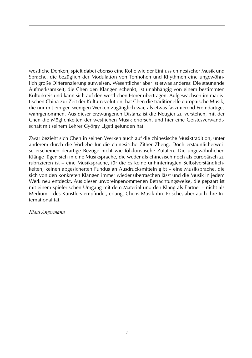westliche Denken, spielt dabei ebenso eine Rolle wie der Einfluss chinesischer Musik und Sprache, die bezüglich der Modulation von Tonhöhen und Rhythmen eine ungewöhnlich große Differenzierung aufweisen. Wesentlicher aber ist etwas anderes: Die staunende Aufmerksamkeit, die Chen den Klängen schenkt, ist unabhängig von einem bestimmten Kulturkreis und kann sich auf den westlichen Hörer übertragen. Aufgewachsen im maoistischen China zur Zeit der Kulturrevolution, hat Chen die traditionelle europäische Musik, die nur mit einigen wenigen Werken zugänglich war, als etwas faszinierend Fremdartiges wahrgenommen. Aus dieser erzwungenen Distanz ist die Neugier zu verstehen, mit der Chen die Möglichkeiten der westlichen Musik erforscht und hier eine Geistesverwandtschaft mit seinem Lehrer György Ligeti gefunden hat.

Zwar bezieht sich Chen in seinen Werken auch auf die chinesische Musiktradition, unter anderem durch die Vorliebe für die chinesische Zither Zheng. Doch erstaunlicherweise erscheinen derartige Bezüge nicht wie folkloristische Zutaten. Die ungewöhnlichen Klänge fügen sich in eine Musiksprache, die weder als chinesisch noch als europäisch zu rubrizieren ist – eine Musiksprache, für die es keine unhinterfragten Selbstverständlichkeiten, keinen abgesicherten Fundus an Ausdrucksmitteln gibt – eine Musiksprache, die sich von den konkreten Klängen immer wieder überraschen lässt und die Musik in jedem Werk neu entdeckt. Aus dieser unvoreingenommenen Betrachtungsweise, die gepaart ist mit einem spielerischen Umgang mit dem Material und den Klang als Partner – nicht als Medium – des Künstlers empfindet, erlangt Chens Musik ihre Frische, aber auch ihre Internationalität.

#### *Klaus Angermann*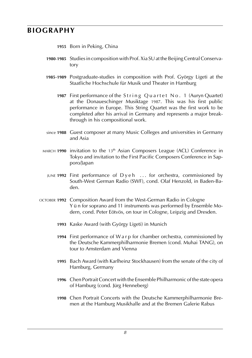## **biography**

- **1955** Born in Peking, China
- **1980**-**1985** Studies in composition with Prof. Xia SU at the Beijing Central Conservatory
- **1985**-**1989** Postgraduate-studies in composition with Prof. György Ligeti at the Staatliche Hochschule für Musik und Theater in Hamburg
	- 1987 First performance of the String Quartet No. 1 (Auryn Quartet) at the Donaueschinger Musiktage 1987. This was his first public performance in Europe. This String Quartet was the first work to be completed after his arrival in Germany and represents a major breakthrough in his compositional work.
- since **1988** Guest composer at many Music Colleges and universities in Germany and Asia
- march **1990** invitation to the 13th Asian Composers League (ACL) Conference in Tokyo and invitation to the First Pacific Composers Conference in Sapporo/Japan
	- june **1992** First performance of D y e h . . . for orchestra, commissioned by South-West German Radio (SWF), cond. Olaf Henzold, in Baden-Baden.
- october **1992** Composition Award from the West-German Radio in Cologne Y ü n for soprano and 11 instruments was performed by Ensemble Modern, cond. Peter Eötvös, on tour in Cologne, Leipzig and Dresden.
	- **1993** Kaske Award (with György Ligeti) in Munich
	- **1994** First performance of W a r p for chamber orchestra, commissioned by the Deutsche Kammerphilharmonie Bremen (cond. Muhai TANG), on tour to Amsterdam and Vienna
	- **1995** Bach Award (with Karlheinz Stockhausen) from the senate of the city of Hamburg, Germany
	- **1996** Chen Portrait Concert with the Ensemble Philharmonic of the state opera of Hamburg (cond. Jürg Henneberg)
	- **1998** Chen Portrait Concerts with the Deutsche Kammerphilharmonie Bremen at the Hamburg Musikhalle and at the Bremen Galerie Rabus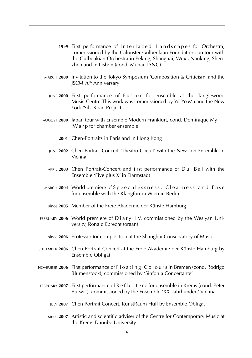- 1999 First performance of Interlaced Landscapes for Orchestra, commissioned by the Calouster Gulbenkian Foundation, on tour with the Gulbenkian Orchestra in Peking, Shanghai, Wuxi, Nanking, Shenzhen and in Lisbon (cond. Muhai TANG)
- march **2000** Invitation to the Tokyo Symposium 'Composition & Criticism' and the JSCM 70th Anniversary
	- JUNE 2000 First performance of Fusion for ensemble at the Tanglewood Music Centre.This work was commissioned by Yo-Yo Ma and the New York 'Silk Road Project'
- august **2000** Japan tour with Ensemble Modern Frankfurt, cond. Dominique My (W a r p for chamber ensemble)
	- **2001** Chen-Portraits in Paris and in Hong Kong
	- june **2002** Chen Portrait Concert 'Theatro Circuit' with the New Ton Ensemble in Vienna
	- APRIL 2003 Chen Portrait-Concert and first performance of Du Bai with the Ensemble 'Five plus X' in Darmstadt
- march **2004** World premiere of S p e e c h l e s s n e s s , C l e a r n e s s a n d E a s e for ensemble with the Klangforum Wien in Berlin
	- since **2005** Member of the Freie Akademie der Künste Hamburg.
- FEBRUARY 2006 World premiere of Diary IV, commissioned by the Weslyan University, Ronald Ebrecht (organ)
	- since **2006** Professor for composition at the Shanghai Conservatory of Music
- september **2006** Chen Portrait Concert at the Freie Akademie der Künste Hamburg by Ensemble Obligat
- november **2006** First performance of F l o a t i n g C o l o u r s in Bremen (cond. Rodrigo Blumenstock), commissioned by 'Sinfonia Concertante'
- february **2007** First performance of R e f l e c t e r e for ensemble in Krems (cond. Peter Burwik), commissioned by the Ensemble 'XX. Jahrhundert' Vienna
	- july **2007** Chen Portrait Concert, KunstRaum Hüll by Ensemble Obligat
	- since **2007** Artistic and scientific adviser of the Centre for Contemporary Music at the Krems Danube University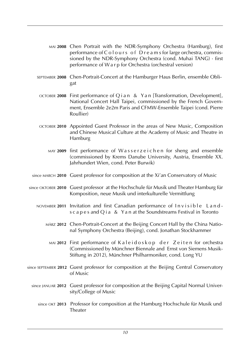- mai **2008** Chen Portrait with the NDR-Symphony Orchestra (Hamburg), first performance of C o l o u r s o f D r e a m s for large orchestra, commissioned by the NDR-Symphony Orchestra (cond. Muhai TANG) · first performance of W a r p for Orchestra (orchestral version)
- september **2008** Chen-Portrait-Concert at the Hamburger Haus Berlin, ensemble Obligat
- october **2008** First performance of Q i a n & Ya n [Transformation, Development], National Concert Hall Taipei, commissioned by the French Government, Ensemble 2e2m Paris and CFMW-Ensemble Taipei (cond. Pierre Roullier)
- october **2010** Appointed Guest Professor in the areas of New Music, Composition and Chinese Musical Culture at the Academy of Music and Theatre in Hamburg
	- MAY 2009 first performance of Wasserzeichen for sheng and ensemble (commissioned by Krems Danube University, Austria, Ensemble XX. Jahrhundert Wien, cond. Peter Burwik)
- since march **2010** Guest professor for composition at the Xi'an Conservatory of Music
- since oktober **2010** Guest professor at the Hochschule für Musik und Theater Hamburg für Komposition, neue Musik und interkulturelle Vermittlung
	- november 2011 Invitation and first Canadian performance of Invisible Lands c a p e s and Q i a & Y a n at the Soundstreams Festival in Toronto
		- märz **2012** Chen-Portrait-Concert at the Beijing Concert Hall by the China National Symphony Orchestra (Beijing), cond. Jonathan Stockhammer
			- mai 2012 First performance of Kaleidoskop der Zeiten for orchestra (Commissioned by Münchner Biennale and Ernst von Siemens Musik-Stiftung in 2012), Münchner Philharmoniker, cond. Long YU
- since september **2012** Guest professor for composition at the Beijing Central Conservatory of Music
	- since januar **2012** Guest professor for composition at the Beijing Capital Normal University/College of Music
		- since okt **2013** Professor for composition at the Hamburg Hochschule für Musik und **Theater**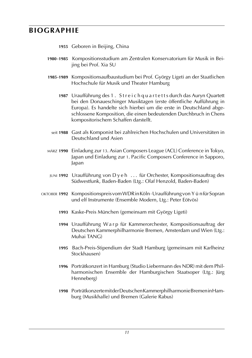## **biographie**

- **1955** Geboren in Beijing, China
- **1980**-**1985** Kompositionsstudium am Zentralen Konservatorium für Musik in Beijing bei Prof. Xia SU
- **1985**-**1989** Kompositionsaufbaustudium bei Prof. György Ligeti an der Staatlichen Hochschule für Musik und Theater Hamburg
	- **1987** Uraufführung des 1 . S t r e i c h q u a r t e t t s durch das Auryn Quartett bei den Donaueschinger Musiktagen (erste öffentliche Aufführung in Europa). Es handelte sich hierbei um die erste in Deutschland abgeschlossene Komposition, die einen bedeutenden Durchbruch in Chens kompositorischem Schaffen darstellt.
	- seit **1988** Gast als Komponist bei zahlreichen Hochschulen und Universitäten in Deutschland und Asien
- märz **1990** Einladung zur 13. Asian Composers League (ACL) Conference in Tokyo, Japan und Einladung zur 1. Pacific Composers Conference in Sapporo, Japan
- juni **1992** Uraufführung von D y e h . . . für Orchester, Kompositionsauftrag des Südwestfunk, Baden-Baden (Ltg.: Olaf Henzold, Baden-Baden)
- oktober **1992** Kompositionspreis vom WDR in Köln · Uraufführung von Y ü n für Sopran und elf Instrumente (Ensemble Modern, Ltg.: Peter Eötvös)
	- **1993** Kaske-Preis München (gemeinsam mit György Ligeti)
	- **1994** Uraufführung W a r p für Kammerorchester, Kompositionsauftrag der Deutschen Kammerphilharmonie Bremen, Amsterdam und Wien (Ltg.: Muhai TANG)
	- **1995** Bach-Preis-Stipendium der Stadt Hamburg (gemeinsam mit Karlheinz Stockhausen)
	- **1996** Porträtkonzert in Hamburg (Studio Liebermann des NDR) mit dem Philharmonischen Ensemble der Hamburgischen Staatsoper (Ltg.: Jürg Henneberg)
	- **1998** Porträtkonzerte mit der Deutschen Kammerphilharmonie Bremen in Hamburg (Musikhalle) und Bremen (Galerie Rabus)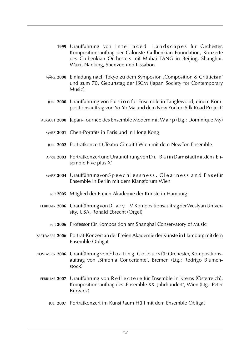- 1999 Uraufführung von Interlaced Landscapes für Orchester, Kompositionsauftrag der Calouste Gulbenkian Foundation, Konzerte des Gulbenkian Orchesters mit Muhai TANG in Beijing, Shanghai, Wuxi, Nanking, Shenzen und Lissabon
- märz **2000** Einladung nach Tokyo zu dem Symposion ,Composition & Crititicism' und zum 70. Geburtstag der JSCM (Japan Society for Contemporary Music)
- juni **2000** Uraufführung von F u s i o n für Ensemble in Tanglewood, einem Kompositionsauftrag von Yo-Yo Ma und dem New Yorker ,Silk Road Project'
- august **2000** Japan-Tournee des Ensemble Modern mit W a r p (Ltg.: Dominique My)
	- märz **2001** Chen-Porträts in Paris und in Hong Kong
	- juni **2002** Porträtkonzert (,Teatro Circuit') Wien mit dem NewTon Ensemble
	- april **2003** Porträtkonzert und Uraufführung von D u B a i in Darmstadt mit dem ,Ensemble Five plus X'
	- märz **2004** Uraufführung von S p e e c h l e s s n e s s , C l e a r n e s s a n d E a s e für Ensemble in Berlin mit dem Klangforum Wien
		- seit **2005** Mitglied der Freien Akademie der Künste in Hamburg
- februar **2006** Uraufführung von D i a r y IV, Kompositionsauftrag der Weslyan University, USA, Ronald Ebrecht (Orgel)
	- seit **2006** Professor für Komposition am Shanghai Conservatory of Music
- september **2006** Porträt-Konzert an der Freien Akademie der Künste in Hamburg mit dem Ensemble Obligat
- november **2006** Uraufführung von F l o a t i n g C o l o u r s für Orchester, Kompositionsauftrag von ,Sinfonia Concertante', Bremen (Ltg.: Rodrigo Blumenstock)
	- februar **2007** Uraufführung von R e f l e c t e r e für Ensemble in Krems (Österreich), Kompositionsauftrag des ,Ensemble XX. Jahrhundert', Wien (Ltg.: Peter Burwick)
		- juli **2007** Porträtkonzert im KunstRaum Hüll mit dem Ensemble Obligat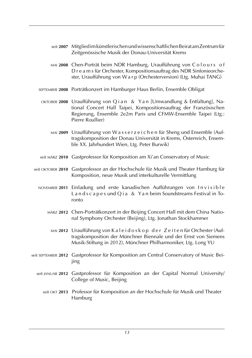- seit **2007** Mitglied im künstlerischen und wissenschaftlichen Beirat am Zentrum für Zeitgenössische Musik der Donau-Universität Krems
- mai **2008** Chen-Porträt beim NDR Hamburg, Uraufführung von C o l o u r s o f D r e a m s für Orchester, Kompositionsauftrag des NDR Sinfonieorchester, Uraufführung von W a r p (Orchesterversion) (Ltg. Muhai TANG)
- september **2008** Porträtkonzert im Hamburger Haus Berlin, Ensemble Obligat
- oktober **2008** Uraufführung von Q i a n & Ya n [Umwandlung & Entfaltung], National Concert Hall Taipei, Kompositionsauftrag der Französischen Regierung, Ensemble 2e2m Paris und CFMW-Ensemble Taipei (Ltg.: Pierre Roullier)
	- mai **2009** Uraufführung von W a s s e r z e i c h e n für Sheng und Ensemble (Auftragskomposition der Donau Universität in Krems, Österreich, Ensemble XX. Jahrhundert Wien, Ltg. Peter Burwik)
- seit märz **2010** Gastprofessor für Komposition am Xi'an Conservatory of Music
- seit oktober **2010** Gastprofessor an der Hochschule für Musik und Theater Hamburg für Komposition, neue Musik und interkulturelle Vermittlung
	- november **2011** Einladung und erste kanadischen Aufführungen von I n v i s i b l e L and s c a p e s und Q i a & Y an beim Soundstreams Festival in Toronto
		- märz **2012** Chen-Porträtkonzert in der Beijing Concert Hall mit dem China National Symphony Orchester (Beijing), Ltg. Jonathan Stockhammer
			- mai **2012** Uraufführung von K a l e i d o s k o p d e r Z e i t e n für Orchester (Auftragskomposition der Münchner Biennale und der Ernst von Siemens Musik-Stiftung in 2012), Münchner Philharmoniker, Ltg. Long YU
- seit september **2012** Gastprofessor für Komposition am Central Conservatory of Music Beiiing
	- seit januar **2012** Gastprofessor für Komposition an der Capital Normal University/ College of Music, Beijing
		- seit okt **2013** Professor für Komposition an der Hochschule für Musik und Theater Hamburg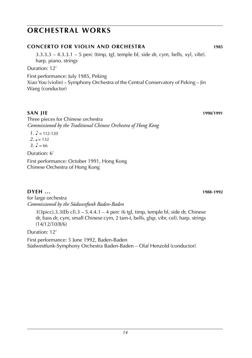## **concerto for violin and orchestra 1985**

3.3.3.3 – 4.3.3.1 – 5 perc (timp, tgl, temple bl, side dr, cym, bells, xyl, vibr). harp. piano. strings

Duration: 12'

First performance: July 1985, Peking Xiao You (violin) – Symphony Orchestra of the Central Conservatory of Peking – Jin Wang (conductor)

## **SAN JIE 1990**/**1991**

Three pieces for Chinese orchestra *Commissioned by the Traditional Chinese Orchestra of Hong Kong*

 $1. \ \mu = 112 - 120$  $2 \text{ J} = 132$  $3. \Delta = 66$ 

Duration: 6'

First performance: October 1991, Hong Kong Chinese Orchestra of Hong Kong

**DYEH ... 1988**-**1992** for large orchestra *Commissioned by the Südwestfunk Baden-Baden*

 $3(3picc)$ .3.3(Eb cl).3 – 5.4.4.1 – 4 perc (6 tgl, timp, temple bl, side dr, Chinese dr, bass dr, cym, small Chinese cym, 2 tam-t, bells, glsp, vibr, cel). harp. strings (14/12/10/8/6)

Duration: 12'

First performance: 5 June 1992, Baden-Baden Südwestfunk-Symphony Orchestra Baden-Baden – Olaf Henzold (conductor)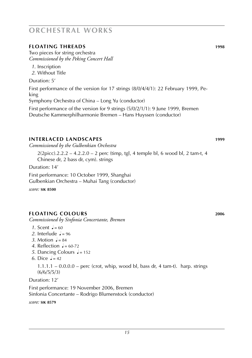## **FLOATING THREADS 1998**

Two pieces for string orchestra *Commissioned by the Peking Concert Hall*

*1*. Inscription

*2*. Without Title

Duration: 5'

First performance of the version for 17 strings (8/0/4/4/1): 22 February 1999, Peking

Symphony Orchestra of China – Long Yu (conductor)

First performance of the version for 9 strings (5/0/2/1/1): 9 June 1999, Bremen Deutsche Kammerphilharmonie Bremen – Hans Huyssen (conductor)

## **INTERLACED LANDSCAPES 1999**

*Commissioned by the Gulbenkian Orchestra*

2(2picc).2.2.2 – 4.2.2.0 – 2 perc (timp, tgl, 4 temple bl, 6 wood bl, 2 tam-t, 4 Chinese dr, 2 bass dr, cym). strings

Duration: 14'

First performance: 10 October 1999, Shanghai Gulbenkian Orchestra – Muhai Tang (conductor)

*score:* **sik 8500**

## **floating colours 2006**

*Commissioned by Sinfonia Concertante, Bremen*

- *1*. Scent  $a = 60$
- 2. Interlude  $J = 96$
- 3. Motion  $I = 84$
- 4. Reflection  $a = 60-72$
- *5*. Dancing Colours  $\sqrt{ }$  = 152
- 6. Dice  $a = 42$

 $1.1.1.1 - 0.0.0.0 -$  perc (crot, whip, wood bl, bass dr, 4 tam-t). harp. strings  $(6/6/5/5/3)$ 

Duration: 12'

First performance: 19 November 2006, Bremen Sinfonia Concertante – Rodrigo Blumenstock (conductor)

*score:* **sik 8579**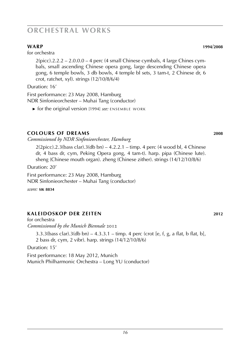for orchestra

 $2(pice)$ .2.2.2 – 2.0.0.0 – 4 perc (4 small Chinese cymbals, 4 large Chines cymbals, small ascending Chinese opera gong, large descending Chinese opera gong, 6 temple bowls, 3 db bowls, 4 temple bl sets, 3 tam-t, 2 Chinese dr, 6 crot, ratchet, xyl). strings (12/10/8/6/4)

Duration: 16'

First performance: 23 May 2008, Hamburg NDR Sinfonieorchester – Muhai Tang (conductor)

► for the original version [1994] *see*: ENSEMBLE WORK

## **colours of dreams 2008**

*Commissioned by NDR Sinfonieorchester, Hamburg*

2(2picc).2.3(bass clar).3(db bn) – 4.2.2.1 – timp. 4 perc (4 wood bl, 4 Chinese dr, 4 bass dr, cym, Peking Opera gong, 4 tam-t). harp. pipa (Chinese lute). sheng (Chinese mouth organ). zheng (Chinese zither). strings (14/12/10/8/6)

Duration: 20'

First performance: 23 May 2008, Hamburg NDR Sinfonieorchester – Muhai Tang (conductor)

*score:* **sik 8834**

## **Kaleidoskop der zeiten 2012**

for orchestra *Commissioned by the Munich Biennale* 2012

3.3.3(bass clar).3(db bn)  $-4.3.3.1 -$  timp. 4 perc (crot [e, f, g, a flat, b flat, b], 2 bass dr, cym, 2 vibr). harp. strings (14/12/10/8/6)

Duration: 15'

First performance: 18 May 2012, Munich Munich Philharmonic Orchestra – Long YU (conductor)

**WARP 1994**/**2008**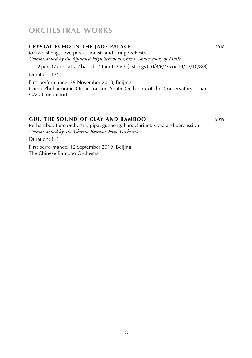#### **crystal echo in the jade palace 2018**

for two shengs, two percussionists and string orchestra *Commissioned by the Affiliated High School of China Conservatory of Music*

2 perc (2 crot sets, 2 bass dr, 4 tam-t, 2 vibr). strings (10/8/6/4/5 or 14/12/10/8/8)

Duration: 17'

First performance: 29 November 2018, Beijing China Philharmonic Orchestra and Youth Orchestra of the Conservatory – Jian GAO (conductor)

### **gui. the sound of clay and bamboo 2019**

for bamboo flute orchestra, pipa, guzheng, bass clarinet, viola and percussion *Commissioned by The Chinese Bamboo Flute Orchestra*

Duration: 11'

First performance: 12 September 2019, Beijing The Chinese Bamboo Orchestra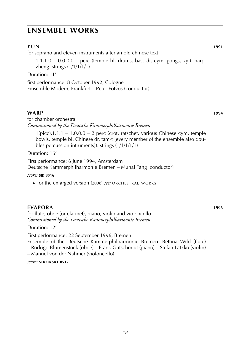## **YÜN 1991**

for soprano and eleven instruments after an old chinese text

 $1.1.1.0 - 0.0.0.0 -$  perc (temple bl, drums, bass dr, cym, gongs, xyl). harp. zheng. strings (1/1/1/1/1)

Duration: 11'

first performance: 8 October 1992, Cologne Emsemble Modern, Frankfurt – Peter Eötvös (conductor)

### **WARP 1994**

for chamber orchestra *Commissioned by the Deutsche Kammerphilharmonie Bremen*

1(picc).1.1.1 – 1.0.0.0 – 2 perc (crot, ratschet, various Chinese cym, temple bowls, temple bl, Chinese dr, tam-t [every member of the ensemble also doubles percussion intruments]). strings (1/1/1/1/1)

Duration: 16'

First performance: 6 June 1994, Amsterdam Deutsche Kammerphilharmonie Bremen – Muhai Tang (conductor)

*score:* **sik 8516**

► for the enlarged version [2008] *see:* ORCHESTRAL WORKS

## **EVAPORA 1996**

for flute, oboe (or clarinet), piano, violin and violoncello *Commissioned by the Deutsche Kammerphilharmonie Bremen*

Duration: 12'

First performance: 22 September 1996, Bremen Ensemble of the Deutsche Kammerphilharmonie Bremen: Bettina Wild (flute) – Rodrigo Blumenstock (oboe) – Frank Gutschmidt (piano) – Stefan Latzko (violin) – Manuel von der Nahmer (violoncello)

*score:* **s i k o r s k i 8517**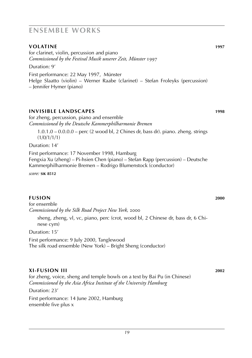### **VOLATINE 1997**

for clarinet, violin, percussion and piano *Commissioned by the Festival Musik unserer Zeit, Münster* 1997

Duration: 9'

First performance: 22 May 1997, Münster Helge Slaatto (violin) – Werner Raabe (clarinet) – Stefan Froleyks (percussion) – Jennifer Hymer (piano)

### **INVISIBLE LANDSCAPES 1998**

for zheng, percussion, piano and ensemble *Commissioned by the Deutsche Kammerphilharmonie Bremen*

1.0.1.0 – 0.0.0.0 – perc (2 wood bl, 2 Chines dr, bass dr). piano. zheng. strings (1/0/1/1/1)

Duration: 14'

First performance: 17 November 1998, Hamburg Fengxia Xu (zheng) – Pi-hsien Chen (piano) – Stefan Rapp (percussion) – Deutsche Kammerphilharmonie Bremen – Rodrigo Blumenstock (conductor)

*score:* **sik 8512**

### **FUSION 2000**

for ensemble *Commissioned by the Silk Road Project New York,* 2000 sheng, zheng, vl, vc, piano, perc (crot, wood bl, 2 Chinese dr, bass dr, 6 Chinese cym) Duration: 15'

First performance: 9 July 2000, Tanglewood The silk road ensemble (New York) – Bright Sheng (conductor)

### **xi-fusion III 2002**

for zheng, voice, sheng and temple bowls on a text by Bai Pu (in Chinese) *Commissioned by the Asia Africa Institute of the University Hamburg*

Duration: 23'

First performance: 14 June 2002, Hamburg ensemble five plus x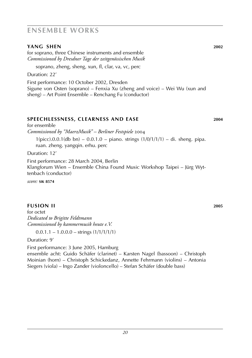#### **yang shen 2002**

for soprano, three Chinese instruments and ensemble *Commissioned by Dresdner Tage der zeitgenössischen Musik*

soprano, zheng, sheng, xun, fl, clar, va, vc, perc

Duration: 22'

First performance: 10 October 2002, Dresden Sigune von Osten (soprano) – Fenxia Xu (zheng and voice) – Wei Wu (xun and sheng) – Art Point Ensemble – Renchang Fu (conductor)

#### **speechlessness, clearness and ease 2004**

for ensemble *Commissioned by "MaerzMusik" – Berliner Festspiele* 2004

 $1(pice).0.0.1$ (db bn) – 0.0.1.0 – piano. strings  $(1/0/1/1/1)$  – di. sheng. pipa. ruan. zheng. yangqin. erhu. perc

Duration: 12'

First performance: 28 March 2004, Berlin Klangforum Wien – Ensemble China Found Music Workshop Taipei – Jürg Wyttenbach (conductor)

*score:* **sik 8574**

### **fusion II 2005**

for octet *Dedicated to Brigitte Feldtmann Commissioned by kammermusik heute e.V.*

 $0.0.1.1 - 1.0.0.0 - \text{strings} (1/1/1/1/1)$ 

Duration: 9'

First performance: 3 June 2005, Hamburg ensemble acht: Guido Schäfer (clarinet) – Karsten Nagel (bassoon) – Christoph Moinian (horn) – Christoph Schickedanz, Annette Fehrmann (violins) – Antonia Siegers (viola) – Ingo Zander (violoncello) – Stefan Schäfer (double bass)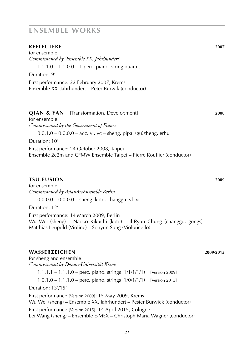| <b>REFLECTERE</b><br>for ensemble                                                                                                                                              | 2007      |
|--------------------------------------------------------------------------------------------------------------------------------------------------------------------------------|-----------|
| Commissioned by 'Ensemble XX. Jahrhundert'                                                                                                                                     |           |
| $1.1.1.0 - 1.1.0.0 - 1$ perc. piano. string quartet                                                                                                                            |           |
| Duration: 9'                                                                                                                                                                   |           |
| First performance: 22 February 2007, Krems<br>Ensemble XX. Jahrhundert – Peter Burwik (conductor)                                                                              |           |
| <b>QIAN &amp; YAN</b> [Transformation, Development]<br>for ensemble<br>Commissioned by the Government of France                                                                | 2008      |
| $0.0.1.0 - 0.0.0.0 -$ acc. vl. vc - sheng. pipa. (gu)zheng. erhu                                                                                                               |           |
| Duration: 10'                                                                                                                                                                  |           |
| First performance: 24 October 2008, Taipei<br>Ensemble 2e2m and CFMW Ensemble Taipei – Pierre Roullier (conductor)                                                             |           |
| <b>TSU-FUSION</b><br>for ensemble                                                                                                                                              | 2009      |
| Commissioned by AsianArtEnsemble Berlin                                                                                                                                        |           |
| $0.0.0.0 - 0.0.0.0 -$ sheng. koto. changgu. vl. vc                                                                                                                             |           |
| Duration: 12'                                                                                                                                                                  |           |
| First performance: 14 March 2009, Berlin<br>Wu Wei (sheng) - Naoko Kikuchi (koto) - Il-Ryun Chung (changgu, gongs) -<br>Matthias Leupold (Violine) – Sohyun Sung (Violoncello) |           |
| WASSERZEICHEN<br>for sheng and ensemble                                                                                                                                        | 2009/2015 |

for sheng and ensem-*Commissioned by Donau-Universität Krems*

1.1.1.1 – 1.1.1.0 – perc. piano. strings (1/1/1/1/1) [Version 2009]

1.0.1.0 – 1.1.1.0 – perc. piano. strings (1/0/1/1/1) [Version 2015]

Duration: 13'/15'

First performance [Version 2009]: 15 May 2009, Krems Wu Wei (sheng) – Ensemble XX. Jahrhundert – Pester Burwick (conductor)

First performance [Version 2015]: 14 April 2015, Cologne Lei Wang (sheng) – Ensemble E-MEX – Christoph Maria Wagner (conductor)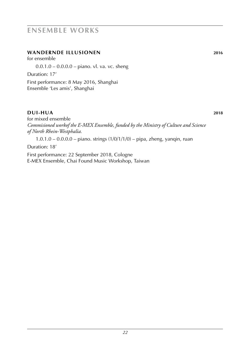### **wandernde illusionen 2016**

for ensemble

0.0.1.0 – 0.0.0.0 – piano. vl. va. vc. sheng

Duration: 17'

First performance: 8 May 2016, Shanghai Ensemble 'Les amis', Shanghai

#### **dui-hua 2018**

for mixed ensemble *Commisioned workof the E-MEX Ensemble, funded by the Ministry of Culture and Science of North Rhein-Westphalia.*

1.0.1.0 – 0.0.0.0 – piano. strings (1/0/1/1/0) – pipa, zheng, yanqin, ruan

Duration: 18'

First performance: 22 September 2018, Cologne E-MEX Ensemble, Chai Found Music Workshop, Taiwan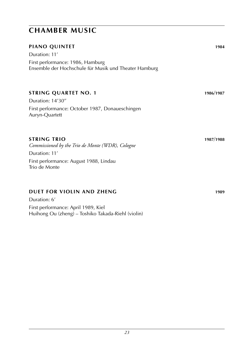| 1984      |
|-----------|
|           |
|           |
| 1986/1987 |
|           |
| 1987/1988 |
|           |
|           |

## **DUET for Violin and zheng 1989**

Duration: 6' First performance: April 1989, Kiel Huihong Ou (zheng) – Toshiko Takada-Riehl (violin)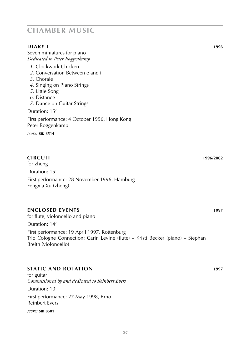#### **DIARY I 1996**

Seven miniatures for piano *Dedicated to Peter Roggenkamp*

- *1*. Clockwork Chicken
- *2*. Conversation Between e and f
- *3*. Chorale
- *4*. Singing on Piano Strings
- *5*. Little Song
- *6*. Distance
- *7*. Dance on Guitar Strings

Duration: 15'

First performance: 4 October 1996, Hong Kong Peter Roggenkamp

*score:* **sik 8514**

## **CIRCUIT 1996**/**2002**

for zheng Duration: 15' First performance: 28 November 1996, Hamburg Fengxia Xu (zheng)

## **Enclosed Events 1997**

for flute, violoncello and piano Duration: 14' First performance: 19 April 1997, Rottenburg Trio Cologne Connection: Carin Levine (flute) – Kristi Becker (piano) – Stephan Breith (violoncello)

## **STATIC AND ROTATION 1997**

for guitar *Commissioned by and dedicated to Reinbert Evers* Duration: 10' First performance: 27 May 1998, Brno Reinbert Evers

*score:* **sik 8501**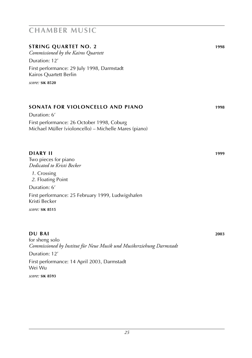| <b>STRING QUARTET NO. 2</b><br>Commissioned by the Kairos Quartett<br>Duration: 12'                 | 1998 |
|-----------------------------------------------------------------------------------------------------|------|
| First performance: 29 July 1998, Darmstadt<br>Kairos Quartett Berlin                                |      |
| score: SIK 8520                                                                                     |      |
| SONATA FOR VIOLONCELLO AND PIANO                                                                    | 1998 |
| Duration: 6'                                                                                        |      |
| First performance: 26 October 1998, Coburg<br>Michael Müller (violoncello) - Michelle Mares (piano) |      |
| <b>DIARY II</b><br>Two pieces for piano<br>Dedicated to Kristi Becker                               | 1999 |
| 1. Crossing<br>2. Floating Point                                                                    |      |
| Duration: 6'                                                                                        |      |
| First performance: 25 February 1999, Ludwigshafen<br>Kristi Becker                                  |      |
| score: SIK 8515                                                                                     |      |
| <b>DU BAI</b>                                                                                       | 2003 |
| for sheng solo<br>Commissioned by Institut für Neue Musik und Musikerziehung Darmstadt              |      |
| Duration: 12'                                                                                       |      |
| First performance: 14 April 2003, Darmstadt<br>Wei Wu                                               |      |

*score:* **sik 8593**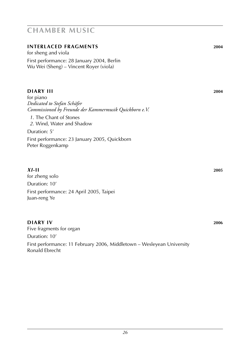| <b>INTERLACED FRAGMENTS</b><br>for sheng and viola                                                                                                                            | 2004 |
|-------------------------------------------------------------------------------------------------------------------------------------------------------------------------------|------|
| First performance: 28 January 2004, Berlin<br>Wu Wei (Sheng) – Vincent Royer (viola)                                                                                          |      |
| <b>DIARY III</b><br>for piano<br>Dedicated to Stefan Schäfer<br>Commissioned by Freunde der Kammermusik Quickborn e.V.<br>1. The Chant of Stones<br>2. Wind, Water and Shadow | 2004 |
| Duration: 5'                                                                                                                                                                  |      |
| First performance: 23 January 2005, Quickborn<br>Peter Roggenkamp                                                                                                             |      |
| $XI-II$<br>for zheng solo                                                                                                                                                     | 2005 |
| Duration: 10'<br>First performance: 24 April 2005, Taipei                                                                                                                     |      |
| Juan-reng Ye                                                                                                                                                                  |      |

**DIARY IV 2006** Five fragments for organ Duration: 10'

First performance: 11 February 2006, Middletown – Wesleyean University Ronald Ebrecht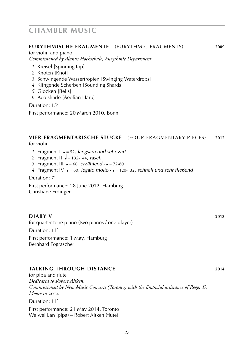#### **eurythmische Fragmente** (eurythmic fragments) **2009**

for violin and piano *Commissioned by Alanus Hochschule, Eurythmic Department*

- *1*. Kreisel [Spinning top]
- *2*. Knoten [Knot]
- *3*. Schwingende Wassertropfen [Swinging Waterdrops]
- *4*. Klingende Scherben [Sounding Shards]
- *5*. Glocken [Bells]
- *6*. Aeolsharfe [Aeolian Harp]

Duration: 15'

First performance: 20 March 2010, Bonn

## **vier Fragmentarische stücke** (four fragmentary pieces) **2012**

for violin

- *1*. Fragment I q = 52*, langsam und sehr zart*
- *2*. Fragment II q = 132-144*, rasch*
- *3*. Fragment III  $\epsilon = 66$ , erzählend  $\epsilon \epsilon = 72-80$
- *4*. Fragment IV q = 60*, legato molto* **·** q = 120-132*, schnell und sehr fließend*

Duration: 7'

First performance: 28 June 2012, Hamburg Christiane Erdinger

#### **DIARY V 2013**

for quarter-tone piano (two pianos / one player)

Duration: 11'

First performance: 1 May, Hamburg Bernhard Fograscher

## **talking through distance 2014**

for pipa and flute *Dedicated to Robert Aitken, Commissioned by New Music Concerts (Toronto) with the financial assistance of Roger D. Moore in* 2014 Duration: 11' First performance: 21 May 2014, Toronto Weiwei Lan (pipa) – Robert Aitken (flute)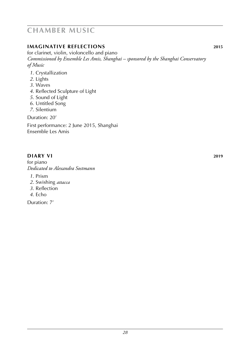## **imaginative reflections 2015**

for clarinet, violin, violoncello and piano *Commissioned by Ensemble Les Amis, Shanghai – sponsored by the Shanghai Conservatory of Music*

- *1*. Crystallization
- *2*. Lights
- *3*. Waves
- *4*. Reflected Sculpture of Light
- *5*. Sound of Light
- *6*. Untitled Song
- *7*. Silentium

Duration: 20'

First performance: 2 June 2015, Shanghai Ensemble Les Amis

### **DIARY VI 2019**

for piano *Dedicated to Alexandra Sostmann*

- *1*. Prism
- *2*. Swishing *attacca*
- *3*. Reflection
- *4*. Echo

Duration: 7'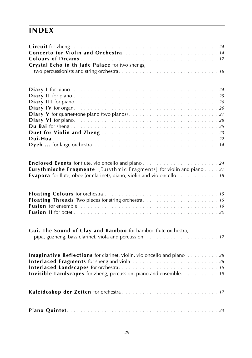# **index**

| Crystal Echo in th Jade Palace for two shengs,                                |  |  |
|-------------------------------------------------------------------------------|--|--|
|                                                                               |  |  |
|                                                                               |  |  |
|                                                                               |  |  |
|                                                                               |  |  |
|                                                                               |  |  |
|                                                                               |  |  |
|                                                                               |  |  |
|                                                                               |  |  |
|                                                                               |  |  |
|                                                                               |  |  |
|                                                                               |  |  |
|                                                                               |  |  |
|                                                                               |  |  |
|                                                                               |  |  |
|                                                                               |  |  |
| <b>Eurythmische Fragmente</b> [Eurythmic Fragments] for violin and piano 27   |  |  |
| Evapora for flute, oboe (or clarinet), piano, violin and violoncello 18       |  |  |
|                                                                               |  |  |
|                                                                               |  |  |
|                                                                               |  |  |
|                                                                               |  |  |
|                                                                               |  |  |
|                                                                               |  |  |
|                                                                               |  |  |
|                                                                               |  |  |
| Gui. The Sound of Clay and Bamboo for bamboo flute orchestra,                 |  |  |
|                                                                               |  |  |
|                                                                               |  |  |
|                                                                               |  |  |
| <b>Imaginative Reflections</b> for clarinet, violin, violoncello and piano 28 |  |  |
|                                                                               |  |  |
|                                                                               |  |  |
|                                                                               |  |  |
| <b>Invisible Landscapes</b> for zheng, percussion, piano and ensemble. 19     |  |  |
|                                                                               |  |  |
|                                                                               |  |  |
|                                                                               |  |  |
|                                                                               |  |  |
|                                                                               |  |  |
|                                                                               |  |  |